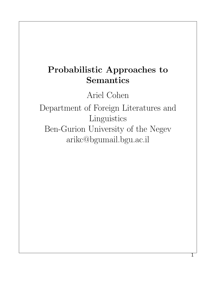# Probabilistic Approaches to Semantics

Ariel Cohen

Department of Foreign Literatures and Linguistics Ben-Gurion University of the Negev arikc@bgumail.bgu.ac.il

1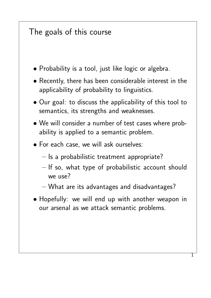#### The goals of this course

- Probability is a tool, just like logic or algebra.
- Recently, there has been considerable interest in the applicability of probability to linguistics.
- Our goal: to discuss the applicability of this tool to semantics, its strengths and weaknesses.
- We will consider a number of test cases where probability is applied to a semantic problem.
- For each case, we will ask ourselves:
	- Is a probabilistic treatment appropriate?
	- If so, what type of probabilistic account should we use?
	- What are its advantages and disadvantages?
- Hopefully: we will end up with another weapon in our arsenal as we attack semantic problems.

1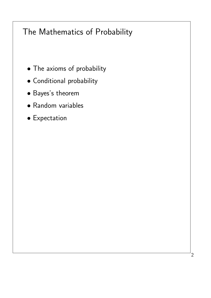# The Mathematics of Probability

- The axioms of probability
- Conditional probability
- Bayes's theorem
- Random variables
- Expectation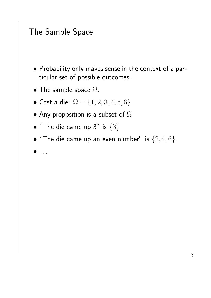#### The Sample Space

- Probability only makes sense in the context of a particular set of possible outcomes.
- The sample space  $\Omega$ .
- Cast a die:  $\Omega = \{1, 2, 3, 4, 5, 6\}$
- Any proposition is a subset of  $\Omega$
- "The die came up 3" is  $\{3\}$
- "The die came up an even number" is  ${2, 4, 6}$ .
- $\bullet$  . . .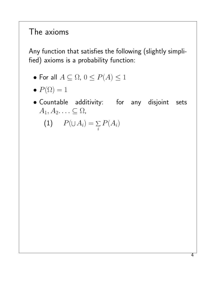### The axioms

Any function that satisfies the following (slightly simplified) axioms is a probability function:

- For all  $A \subseteq \Omega$ ,  $0 \le P(A) \le 1$
- $P(\Omega) = 1$
- Countable additivity: for any disjoint sets  $A_1, A_2, \ldots \subseteq \Omega$ ,

$$
(1) \qquad P(\cup A_i) = \sum_i P(A_i)
$$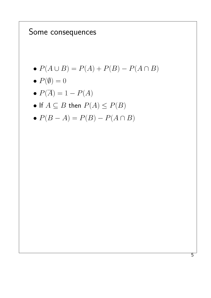#### Some consequences

- $P(A \cup B) = P(A) + P(B) P(A \cap B)$
- $P(\emptyset) = 0$
- $P(\overline{A}) = 1 P(A)$
- If  $A \subseteq B$  then  $P(A) \leq P(B)$
- $P(B A) = P(B) P(A \cap B)$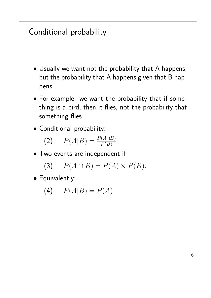# Conditional probability

- Usually we want not the probability that A happens, but the probability that A happens given that B happens.
- For example: we want the probability that if something is a bird, then it flies, not the probability that something flies.
- Conditional probability:

$$
(2) \qquad P(A|B) = \frac{P(A \cap B)}{P(B)}
$$

• Two events are independent if

$$
(3) \tP(A \cap B) = P(A) \times P(B).
$$

• Equivalently:

$$
(4) \qquad P(A|B) = P(A)
$$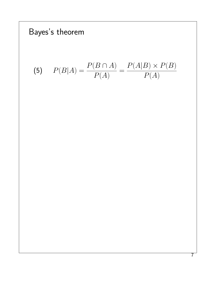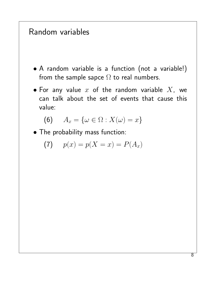#### Random variables

- A random variable is a function (not a variable!) from the sample sapce  $\Omega$  to real numbers.
- For any value  $x$  of the random variable  $X$ , we can talk about the set of events that cause this value:

$$
(6) \qquad A_x = \{\omega \in \Omega : X(\omega) = x\}
$$

• The probability mass function:

(7) 
$$
p(x) = p(X = x) = P(A_x)
$$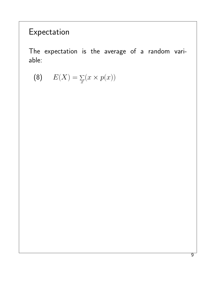# Expectation

The expectation is the average of a random variable:

$$
(8) \qquad E(X) = \sum_{x} (x \times p(x))
$$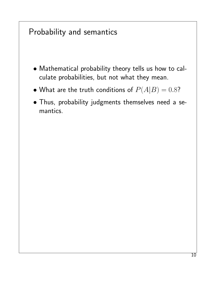#### Probability and semantics

- Mathematical probability theory tells us how to calculate probabilities, but not what they mean.
- What are the truth conditions of  $P(A|B) = 0.8$ ?
- Thus, probability judgments themselves need a semantics.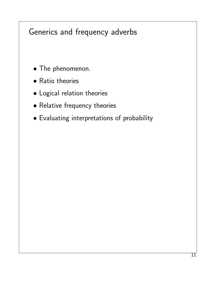### Generics and frequency adverbs

- The phenomenon.
- Ratio theories
- Logical relation theories
- Relative frequency theories
- Evaluating interpretations of probability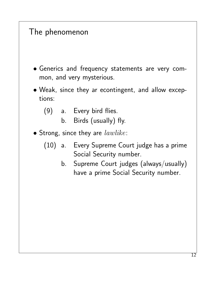#### The phenomenon

- Generics and frequency statements are very common, and very mysterious.
- Weak, since they ar econtingent, and allow exceptions:
	- (9) a. Every bird flies.
		- b. Birds (usually) fly.
- Strong, since they are  $lawlike$ :
	- (10) a. Every Supreme Court judge has a prime Social Security number.
		- b. Supreme Court judges (always/usually) have a prime Social Security number.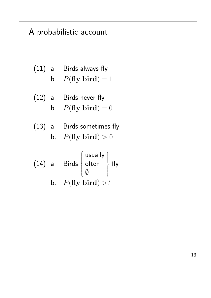# A probabilistic account

(11) a. Birds always fly  
b. 
$$
P(\text{fly}|bird) = 1
$$

(12) a. **Birds never fly**  
b. 
$$
P(\textbf{fly}|\textbf{bird}) = 0
$$

(13) a. Birds sometimes fly  
b. 
$$
P(\text{fly}|\text{bird}) > 0
$$

(14) a. Birds 
$$
\begin{cases} \text{usually} \\ \text{often} \\ \emptyset \end{cases} \text{fly} \\ b. \quad P(\text{fly}|bird) > ?
$$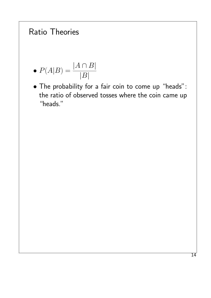### Ratio Theories

$$
\bullet \; P(A|B) = \frac{|A \cap B|}{|B|}
$$

• The probability for a fair coin to come up "heads": the ratio of observed tosses where the coin came up "heads."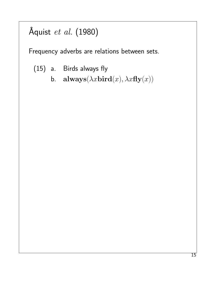# Åquist et al. (1980)

Frequency adverbs are relations between sets.

- (15) a. Birds always fly
	- b. always $(\lambda x$ bird $(x), \lambda x$ fly $(x))$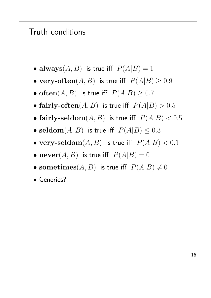#### Truth conditions

- always $(A, B)$  is true iff  $P(A|B) = 1$
- very-often $(A, B)$  is true iff  $P(A|B) \ge 0.9$
- often $(A, B)$  is true iff  $P(A|B) \ge 0.7$
- fairly-often $(A, B)$  is true iff  $P(A|B) > 0.5$
- fairly-seldom $(A, B)$  is true iff  $P(A|B) < 0.5$
- seldom $(A, B)$  is true iff  $P(A|B) \leq 0.3$
- very-seldom $(A, B)$  is true iff  $P(A|B) < 0.1$
- $\mathbf{never}(A, B)$  is true iff  $P(A|B) = 0$
- sometimes(A, B) is true iff  $P(A|B) \neq 0$
- Generics?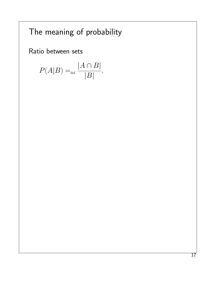# The meaning of probability

Ratio between sets

$$
P(A|B) =_{\text{def}} \frac{|A \cap B|}{|B|}.
$$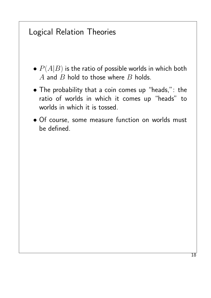#### Logical Relation Theories

- $P(A|B)$  is the ratio of possible worlds in which both  $A$  and  $B$  hold to those where  $B$  holds.
- The probability that a coin comes up "heads,": the ratio of worlds in which it comes up "heads" to worlds in which it is tossed.
- Of course, some measure function on worlds must be defined.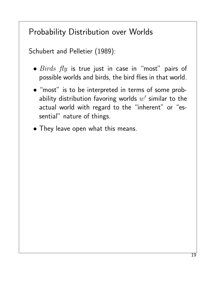# Probability Distribution over Worlds

Schubert and Pelletier (1989):

- $\bullet$   $Birds$   $fly$  is true just in case in "most" pairs of possible worlds and birds, the bird flies in that world.
- "most" is to be interpreted in terms of some probability distribution favoring worlds  $w^\prime$  similar to the actual world with regard to the "inherent" or "essential" nature of things.
- They leave open what this means.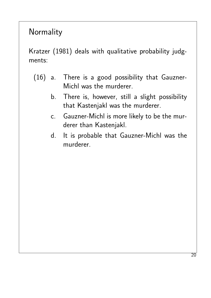#### Normality

Kratzer (1981) deals with qualitative probability judgments:

- (16) a. There is a good possibility that Gauzner-Michl was the murderer.
	- b. There is, however, still a slight possibility that Kastenjakl was the murderer.
	- c. Gauzner-Michl is more likely to be the murderer than Kastenjakl.
	- d. It is probable that Gauzner-Michl was the murderer.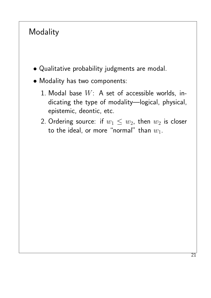## Modality

- Qualitative probability judgments are modal.
- Modality has two components:
	- 1. Modal base  $W: A$  set of accessible worlds, indicating the type of modality—logical, physical, epistemic, deontic, etc.
	- 2. Ordering source: if  $w_1 \leq w_2$ , then  $w_2$  is closer to the ideal, or more "normal" than  $w_1$ .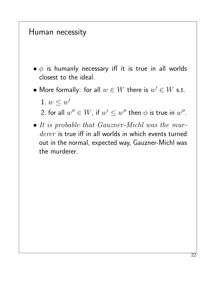#### Human necessity

- $\bullet$   $\phi$  is humanly necessary iff it is true in all worlds closest to the ideal.
- $\bullet$  More formally: for all  $w\in W$  there is  $w'\in W$  s.t.
	- 1.  $w \leq w'$

2. for all  $w'' \in W$ , if  $w' \leq w''$  then  $\phi$  is true in  $w''$ .

• It is probable that Gauzner-Michl was the murderer is true iff in all worlds in which events turned out in the normal, expected way, Gauzner-Michl was the murderer.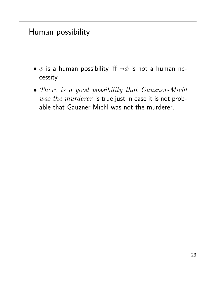#### Human possibility

- $\bullet$   $\phi$  is a human possibility iff  $\neg \phi$  is not a human necessity.
- There is a good possibility that Gauzner-Michl was the murderer is true just in case it is not probable that Gauzner-Michl was not the murderer.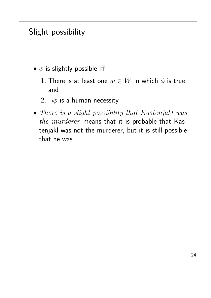#### Slight possibility

- $\phi$  is slightly possible iff
	- 1. There is at least one  $w \in W$  in which  $\phi$  is true, and
	- 2.  $\neg \phi$  is a human necessity.
- There is a slight possibility that Kastenjakl was the murderer means that it is probable that Kastenjakl was not the murderer, but it is still possible that he was.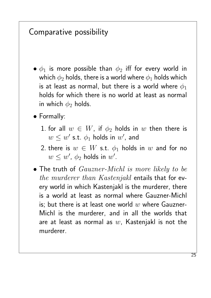#### Comparative possibility

- $\bullet$   $\phi_1$  is more possible than  $\phi_2$  iff for every world in which  $\phi_2$  holds, there is a world where  $\phi_1$  holds which is at least as normal, but there is a world where  $\phi_1$ holds for which there is no world at least as normal in which  $\phi_2$  holds.
- Formally:
	- 1. for all  $w \in W$ , if  $\phi_2$  holds in w then there is  $w \leq w'$  s.t.  $\phi_1$  holds in  $w'$ , and
	- 2. there is  $w \in W$  s.t.  $\phi_1$  holds in w and for no  $w \leq w'$ ,  $\phi_2$  holds in  $w'$ .
- The truth of  $Gauzner-Michl$  is more likely to be the murderer than Kastenjakl entails that for every world in which Kastenjakl is the murderer, there is a world at least as normal where Gauzner-Michl is; but there is at least one world  $w$  where Gauzner-Michl is the murderer, and in all the worlds that are at least as normal as  $w$ , Kastenjakl is not the murderer.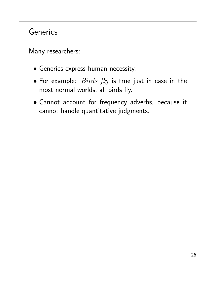#### **Generics**

Many researchers:

- Generics express human necessity.
- For example:  $Birds$   $fly$  is true just in case in the most normal worlds, all birds fly.
- Cannot account for frequency adverbs, because it cannot handle quantitative judgments.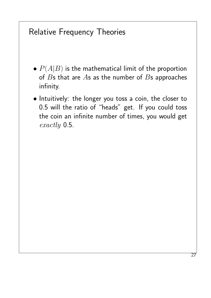#### Relative Frequency Theories

- $\bullet$   $P(A|B)$  is the mathematical limit of the proportion of  $B$ s that are  $A$ s as the number of  $B$ s approaches infinity.
- Intuitively: the longer you toss a coin, the closer to 0.5 will the ratio of "heads" get. If you could toss the coin an infinite number of times, you would get exactly 0.5.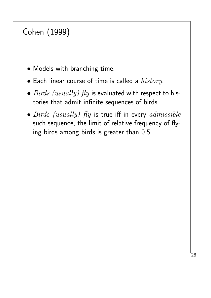# Cohen (1999)

- Models with branching time.
- $\bullet$  Each linear course of time is called a  $history.$
- $Birds$  (usually)  $fly$  is evaluated with respect to histories that admit infinite sequences of birds.
- Birds (usually)  $fly$  is true iff in every admissible such sequence, the limit of relative frequency of flying birds among birds is greater than 0.5.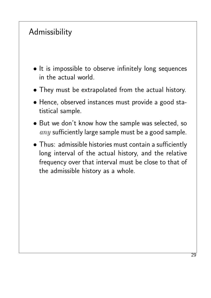# Admissibility

- It is impossible to observe infinitely long sequences in the actual world.
- They must be extrapolated from the actual history.
- Hence, observed instances must provide a good statistical sample.
- But we don't know how the sample was selected, so  $any$  sufficiently large sample must be a good sample.
- Thus: admissible histories must contain a sufficiently long interval of the actual history, and the relative frequency over that interval must be close to that of the admissible history as a whole.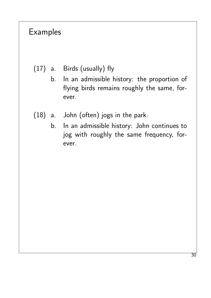#### Examples

- (17) a. Birds (usually) fly
	- b. In an admissible history: the proportion of flying birds remains roughly the same, forever.
- (18) a. John (often) jogs in the park.
	- b. In an admissible history: John continues to jog with roughly the same frequency, forever.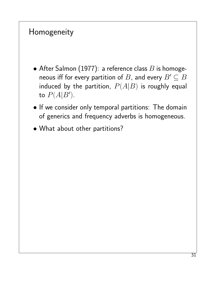#### Homogeneity

- After Salmon (1977): a reference class  $B$  is homogeneous iff for every partition of B, and every  $B' \subseteq B$ induced by the partition,  $P(A|B)$  is roughly equal to  $P(A|B')$ .
- If we consider only temporal partitions: The domain of generics and frequency adverbs is homogeneous.
- What about other partitions?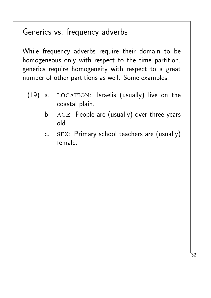#### Generics vs. frequency adverbs

While frequency adverbs require their domain to be homogeneous only with respect to the time partition, generics require homogeneity with respect to a great number of other partitions as well. Some examples:

- $(19)$  a. LOCATION: Israelis (usually) live on the coastal plain.
	- b. AGE: People are (usually) over three years old.
	- c. sex: Primary school teachers are (usually) female.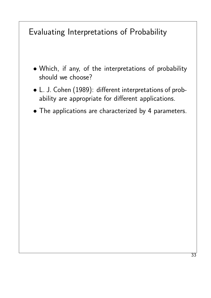## Evaluating Interpretations of Probability

- Which, if any, of the interpretations of probability should we choose?
- L. J. Cohen (1989): different interpretations of probability are appropriate for different applications.
- The applications are characterized by 4 parameters.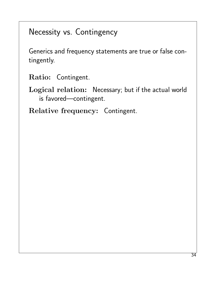#### Necessity vs. Contingency

Generics and frequency statements are true or false contingently.

Ratio: Contingent.

Logical relation: Necessary; but if the actual world is favored—contingent.

Relative frequency: Contingent.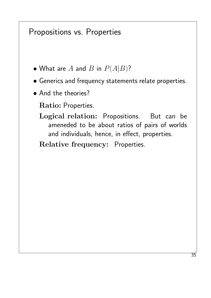#### Propositions vs. Properties

- What are  $A$  and  $B$  in  $P(A|B)$ ?
- Generics and frequency statements relate properties.
- And the theories?

Ratio: Properties.

Logical relation: Propositions. But can be ameneded to be about ratios of pairs of worlds and individuals, hence, in effect, properties.

Relative frequency: Properties.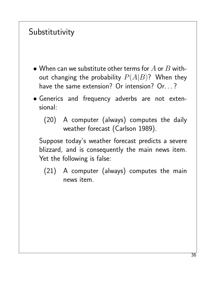# Substitutivity

- When can we substitute other terms for  $A$  or  $B$  without changing the probability  $P(A|B)$ ? When they have the same extension? Or intension? Or...?
- Generics and frequency adverbs are not extensional:
	- (20) A computer (always) computes the daily weather forecast (Carlson 1989).

Suppose today's weather forecast predicts a severe blizzard, and is consequently the main news item. Yet the following is false:

(21) A computer (always) computes the main news item.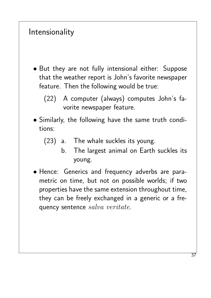#### Intensionality

- But they are not fully intensional either: Suppose that the weather report is John's favorite newspaper feature. Then the following would be true:
	- (22) A computer (always) computes John's favorite newspaper feature.
- Similarly, the following have the same truth conditions:
	- (23) a. The whale suckles its young.
		- b. The largest animal on Earth suckles its young.
- Hence: Generics and frequency adverbs are parametric on time, but not on possible worlds; if two properties have the same extension throughout time, they can be freely exchanged in a generic or a frequency sentence salva veritate.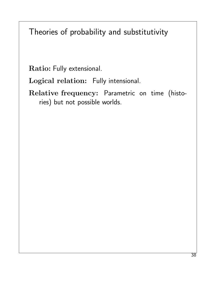Theories of probability and substitutivity

Ratio: Fully extensional.

Logical relation: Fully intensional.

Relative frequency: Parametric on time (histories) but not possible worlds.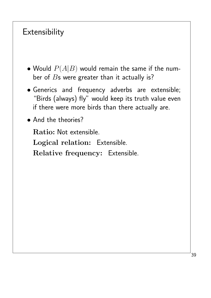# **Extensibility**

- Would  $P(A|B)$  would remain the same if the number of  $B$ s were greater than it actually is?
- Generics and frequency adverbs are extensible; "Birds (always) fly" would keep its truth value even if there were more birds than there actually are.
- And the theories?

Ratio: Not extensible.

Logical relation: Extensible.

Relative frequency: Extensible.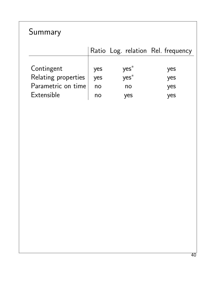# Summary

|                     |     |         | Ratio Log. relation Rel. frequency |
|---------------------|-----|---------|------------------------------------|
|                     |     |         |                                    |
| Contingent          | yes | $yes^*$ | yes                                |
| Relating properties | yes | $yes^*$ | yes                                |
| Parametric on time  | no  | no      | yes                                |
| Extensible          | no  | yes     | yes                                |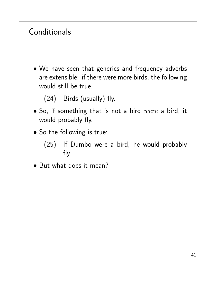# **Conditionals**

• We have seen that generics and frequency adverbs are extensible: if there were more birds, the following would still be true.

(24) Birds (usually) fly.

- $\bullet$  So, if something that is not a bird were a bird, it would probably fly.
- So the following is true:
	- (25) If Dumbo were a bird, he would probably fly.
- But what does it mean?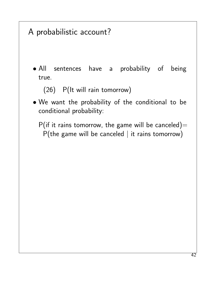# A probabilistic account?

• All sentences have a probability of being true.

(26) P(It will rain tomorrow)

• We want the probability of the conditional to be conditional probability:

P(if it rains tomorrow, the game will be canceled)=  $P$ (the game will be canceled | it rains tomorrow)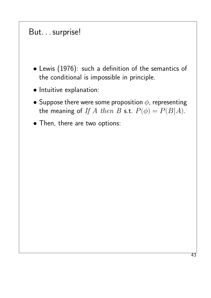#### But. . . surprise!

- Lewis (1976): such a definition of the semantics of the conditional is impossible in principle.
- Intuitive explanation:
- Suppose there were some proposition  $\phi$ , representing the meaning of If A then B s.t.  $P(\phi) = P(B|A)$ .
- Then, there are two options: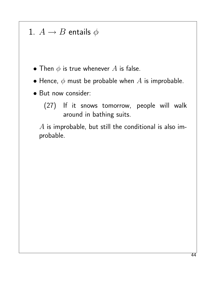#### 1.  $A \rightarrow B$  entails  $\phi$

- Then  $\phi$  is true whenever  $A$  is false.
- Hence,  $\phi$  must be probable when  $A$  is improbable.
- But now consider:
	- (27) If it snows tomorrow, people will walk around in bathing suits.

 $A$  is improbable, but still the conditional is also improbable.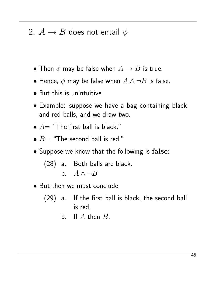## 2.  $A \rightarrow B$  does not entail  $\phi$

- Then  $\phi$  may be false when  $A \rightarrow B$  is true.
- Hence,  $\phi$  may be false when  $A \land \neg B$  is false.
- But this is unintuitive.
- Example: suppose we have a bag containing black and red balls, and we draw two.
- $\bullet$   $A=$  "The first ball is black."
- $B=$  "The second ball is red."
- Suppose we know that the following is false:

(28) a. Both balls are black.

- b.  $A \wedge \neg B$
- But then we must conclude:
	- (29) a. If the first ball is black, the second ball is red.
		- b. If  $A$  then  $B$ .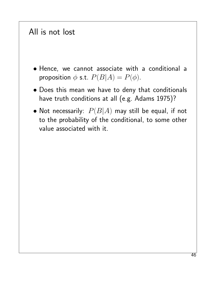#### All is not lost

- Hence, we cannot associate with a conditional a proposition  $\phi$  s.t.  $P(B|A) = P(\phi)$ .
- Does this mean we have to deny that conditionals have truth conditions at all (e.g. Adams 1975)?
- Not necessarily:  $P(B|A)$  may still be equal, if not to the probability of the conditional, to some other value associated with it.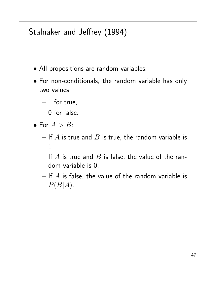# Stalnaker and Jeffrey (1994)

- All propositions are random variables.
- For non-conditionals, the random variable has only two values:
	- $-1$  for true,
	- $-0$  for false.
- For  $A > B$ :
	- If  $A$  is true and  $B$  is true, the random variable is 1
	- If  $A$  is true and  $B$  is false, the value of the random variable is 0.
	- $-$  If  $A$  is false, the value of the random variable is  $P(B|A)$ .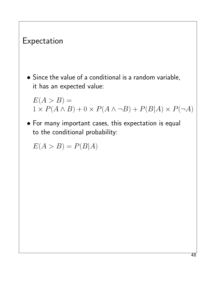# Expectation • Since the value of a conditional is a random variable, it has an expected value:  $E(A > B) =$  $1 \times P(A \wedge B) + 0 \times P(A \wedge \neg B) + P(B|A) \times P(\neg A)$ • For many important cases, this expectation is equal to the conditional probability:  $E(A > B) = P(B|A)$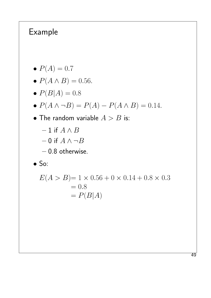## Example

- $P(A) = 0.7$
- $P(A \wedge B) = 0.56$ .
- $P(B|A) = 0.8$

$$
\bullet \; P(A \wedge \neg B) = P(A) - P(A \wedge B) = 0.14.
$$

- The random variable  $A > B$  is:
	- 1 if  $A \wedge B$  $-$  0 if  $A \wedge \neg B$
	- 0.8 otherwise.

• So:

$$
E(A > B) = 1 \times 0.56 + 0 \times 0.14 + 0.8 \times 0.3
$$
  
= 0.8  
= P(B|A)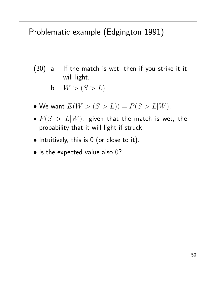# Problematic example (Edgington 1991)

- (30) a. If the match is wet, then if you strike it it will light.
	- b.  $W > (S > L)$
- We want  $E(W > (S > L)) = P(S > L|W)$ .
- $\bullet$   $P(S > L|W)$ : given that the match is wet, the probability that it will light if struck.
- Intuitively, this is 0 (or close to it).
- Is the expected value also 0?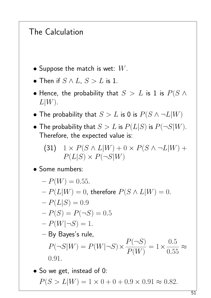#### The Calculation

- Suppose the match is wet:  $W$ .
- Then if  $S \wedge L$ ,  $S > L$  is 1.
- Hence, the probability that  $S > L$  is 1 is  $P(S \wedge S)$  $L|W$ .
- The probability that  $S > L$  is 0 is  $P(S \wedge \neg L|W)$
- The probability that  $S > L$  is  $P(L|S)$  is  $P(\neg S|W)$ . Therefore, the expected value is:

(31) 
$$
1 \times P(S \wedge L|W) + 0 \times P(S \wedge \neg L|W) + P(L|S) \times P(\neg S|W)
$$

• Some numbers:

$$
-P(W) = 0.55.
$$
  
\n
$$
-P(L|W) = 0, \text{ therefore } P(S \wedge L|W) = 0.
$$
  
\n
$$
-P(L|S) = 0.9
$$
  
\n
$$
-P(S) = P(\neg S) = 0.5
$$
  
\n
$$
-P(W|\neg S) = 1.
$$
  
\n
$$
-By Bayes's rule,
$$
  
\n
$$
P(\neg S|W) = P(W|\neg S) \times \frac{P(\neg S)}{P(W)} = 1 \times \frac{0.5}{0.55} \approx 0.91.
$$
  
\n• So we get, instead of 0:

 $P(S > L|W) = 1 \times 0 + 0 + 0.9 \times 0.91 \approx 0.82$ .

51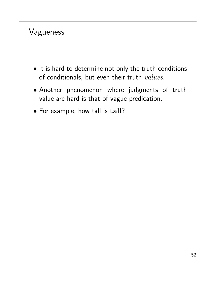#### Vagueness

- It is hard to determine not only the truth conditions of conditionals, but even their truth  $values$ .
- Another phenomenon where judgments of truth value are hard is that of vague predication.
- For example, how tall is tall?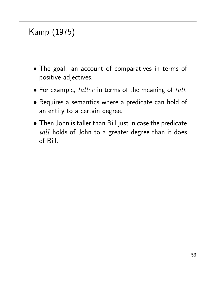# Kamp (1975)

- The goal: an account of comparatives in terms of positive adjectives.
- For example,  $taller$  in terms of the meaning of  $tall$ .
- Requires a semantics where a predicate can hold of an entity to a certain degree.
- Then John is taller than Bill just in case the predicate  $tall$  holds of John to a greater degree than it does of Bill.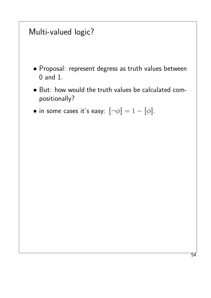### Multi-valued logic?

- Proposal: represent degress as truth values between 0 and 1.
- But: how would the truth values be calculated compositionally?
- in some cases it's easy:  $[\neg \phi] = 1 [\![ \phi ]\!]$ .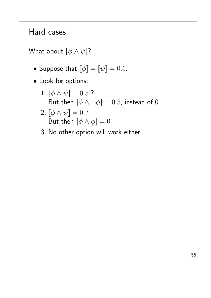#### Hard cases

What about  $[\![ \phi \wedge \psi ]\!]$ ?

- Suppose that  $\llbracket \phi \rrbracket = \llbracket \psi \rrbracket = 0.5$ .
- Look for options:
	- 1.  $\llbracket \phi \wedge \psi \rrbracket = 0.5$ ? But then  $[\![\phi \wedge \neg \phi]\!] = 0.5$ , instead of 0.
	- 2.  $[\![ \phi \wedge \psi ]\!] = 0$  ? But then  $[\![\phi \wedge \phi]\!] = 0$
	- 3. No other option will work either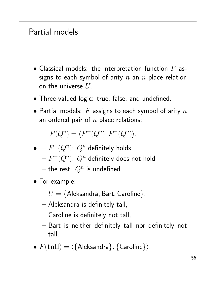# Partial models

- Classical models: the interpretation function  $F$  assigns to each symbol of arity  $n$  an  $n$ -place relation on the universe  $U$ .
- Three-valued logic: true, false, and undefined.
- Partial models:  $F$  assigns to each symbol of arity  $n$ an ordered pair of  $n$  place relations:

 $F(Q^n) = \langle F^+(Q^n), F^-(Q^n) \rangle.$ 

- $\bullet$   $-F^+(Q^n)$ :  $Q^n$  definitely holds,  $F^{\perp}(Q^n)$ :  $Q^n$  definitely does not hold  $-$  the rest:  $Q^n$  is undefined.
- For example:
	- $-U = \{$  Aleksandra, Bart, Caroline $\}.$
	- Aleksandra is definitely tall,
	- Caroline is definitely not tall,
	- Bart is neither definitely tall nor definitely not tall.
- $F(\text{tall}) = \langle \{\text{Aleksandra}\}, \{\text{Caroline}\}\rangle.$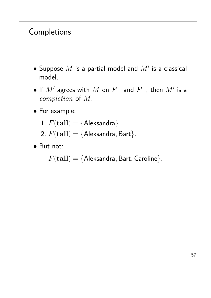#### Completions

- $\bullet$  Suppose  $M$  is a partial model and  $M'$  is a classical model.
- $\bullet$  If  $M'$  agrees with  $M$  on  $F^+$  and  $F^-$ , then  $M'$  is a completion of M.
- For example:
	- 1.  $F(\text{tall}) = \{\text{Aleksandra}\}.$
	- 2.  $F(\text{tall}) = \{\text{Aleksandra}, \text{Bart}\}.$
- But not:

 $F(\textbf{tall}) = \{$  Aleksandra, Bart, Caroline $\}$ .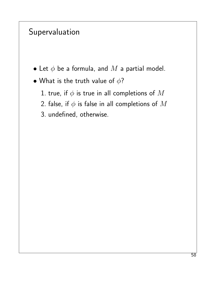# Supervaluation

- Let  $\phi$  be a formula, and  $M$  a partial model.
- What is the truth value of  $\phi$ ?
	- 1. true, if  $\phi$  is true in all completions of  $M$
	- 2. false, if  $\phi$  is false in all completions of  $M$
	- 3. undefined, otherwise.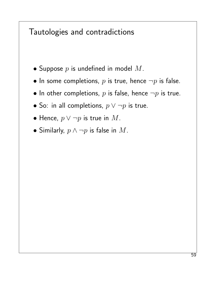#### Tautologies and contradictions

- Suppose  $p$  is undefined in model  $M$ .
- In some completions,  $p$  is true, hence  $\neg p$  is false.
- In other completions,  $p$  is false, hence  $\neg p$  is true.
- So: in all completions,  $p \lor \neg p$  is true.
- Hence,  $p \vee \neg p$  is true in  $M$ .
- Similarly,  $p \wedge \neg p$  is false in  $M$ .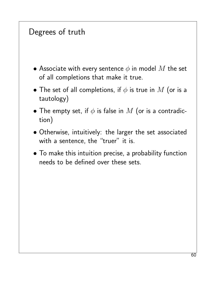### Degrees of truth

- Associate with every sentence  $\phi$  in model  $M$  the set of all completions that make it true.
- The set of all completions, if  $\phi$  is true in  $M$  (or is a tautology)
- The empty set, if  $\phi$  is false in  $M$  (or is a contradiction)
- Otherwise, intuitively: the larger the set associated with a sentence, the "truer" it is.
- To make this intuition precise, a probability function needs to be defined over these sets.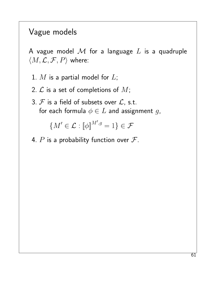#### Vague models

A vague model  $\mathcal M$  for a language  $L$  is a quadruple  $\langle M, \mathcal{L}, \mathcal{F}, P \rangle$  where:

- 1.  $M$  is a partial model for  $L$ ;
- 2.  $\mathcal L$  is a set of completions of  $M$ ;
- 3.  $F$  is a field of subsets over  $\mathcal{L}$ , s.t. for each formula  $\phi \in L$  and assignment g,

$$
\{M'\in\mathcal{L}:\llbracket\phi\rrbracket^{M',g}=1\}\in\mathcal{F}
$$

4. P is a probability function over  $\mathcal{F}$ .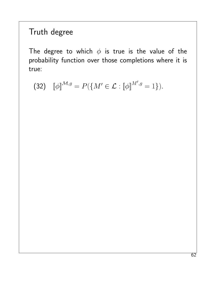## Truth degree

The degree to which  $\phi$  is true is the value of the probability function over those completions where it is true:

(32)  $[\![\phi]\!]^{\mathcal{M},g} = P(\{M' \in \mathcal{L} : [\![\phi]\!]^{M',g} = 1\}).$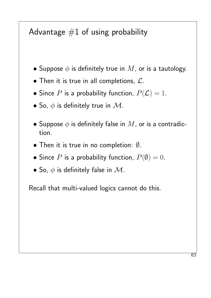# Advantage  $#1$  of using probability

- Suppose  $\phi$  is definitely true in  $M$ , or is a tautology.
- Then it is true in all completions,  $\mathcal{L}$ .
- Since P is a probability function,  $P(\mathcal{L}) = 1$ .
- So,  $\phi$  is definitely true in  $\mathcal M$ .
- Suppose  $\phi$  is definitely false in  $M$ , or is a contradiction.
- Then it is true in no completion: ∅.
- Since P is a probability function,  $P(\emptyset) = 0$ .
- So,  $\phi$  is definitely false in  $\mathcal{M}$ .

Recall that multi-valued logics cannot do this.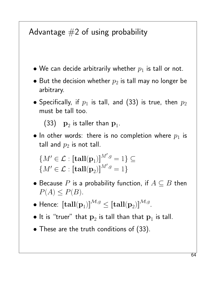# Advantage  $#2$  of using probability

- We can decide arbitrarily whether  $p_1$  is tall or not.
- $\bullet$  But the decision whether  $p_2$  is tall may no longer be arbitrary.
- Specifically, if  $p_1$  is tall, and (33) is true, then  $p_2$ must be tall too.

 $(33)$   $\mathbf{p}_{2}$  is taller than  $\mathbf{p}_{1}$ .

• In other words: there is no completion where  $p_1$  is tall and  $p_2$  is not tall.

 ${M' \in \mathcal{L} : \llbracket \mathbf{tall}(\mathbf{p}_1) \rrbracket^{M',g} = 1} \subseteq$  ${M' \in \mathcal{L} : [\mathbf{tall}(\mathbf{p}_2)]^{M',g} = 1}$ 

- Because P is a probability function, if  $A \subseteq B$  then  $P(A) \leq P(B)$ .
- $\bullet$  Hence:  $\llbracket \mathbf{tall}(\mathbf{p}_1) \rrbracket^{\mathcal{M},g} \leq \llbracket \mathbf{tall}(\mathbf{p}_2) \rrbracket^{\mathcal{M},g}.$
- $\bullet$  It is "truer" that  $\mathbf{p}_2$  is tall than that  $\mathbf{p}_1$  is tall.
- These are the truth conditions of (33).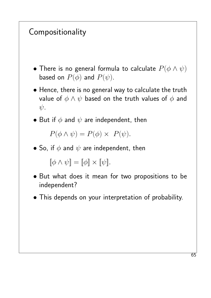# Compositionality

- There is no general formula to calculate  $P(\phi \land \psi)$ based on  $P(\phi)$  and  $P(\psi)$ .
- Hence, there is no general way to calculate the truth value of  $\phi \land \psi$  based on the truth values of  $\phi$  and  $\psi$ .
- But if  $\phi$  and  $\psi$  are independent, then

 $P(\phi \land \psi) = P(\phi) \times P(\psi).$ 

• So, if  $\phi$  and  $\psi$  are independent, then

 $[\![\phi \wedge \psi]\!] = [\![\phi]\!] \times [\![\psi]\!]$ .

- But what does it mean for two propositions to be independent?
- This depends on your interpretation of probability.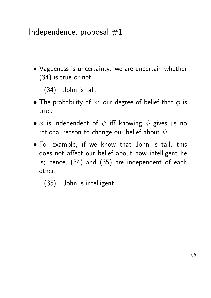#### Independence, proposal  $#1$

• Vagueness is uncertainty: we are uncertain whether (34) is true or not.

(34) John is tall.

- The probability of  $\phi$ : our degree of belief that  $\phi$  is true.
- $\bullet$   $\phi$  is independent of  $\psi$  iff knowing  $\phi$  gives us no rational reason to change our belief about  $\psi$ .
- For example, if we know that John is tall, this does not affect our belief about how intelligent he is; hence, (34) and (35) are independent of each other.
	- (35) John is intelligent.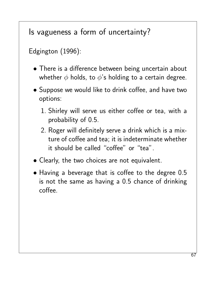Is vagueness a form of uncertainty?

Edgington (1996):

- There is a difference between being uncertain about whether  $\phi$  holds, to  $\phi$ 's holding to a certain degree.
- Suppose we would like to drink coffee, and have two options:
	- 1. Shirley will serve us either coffee or tea, with a probability of 0.5.
	- 2. Roger will definitely serve a drink which is a mixture of coffee and tea; it is indeterminate whether it should be called "coffee" or "tea".
- Clearly, the two choices are not equivalent.
- Having a beverage that is coffee to the degree 0.5 is not the same as having a 0.5 chance of drinking coffee.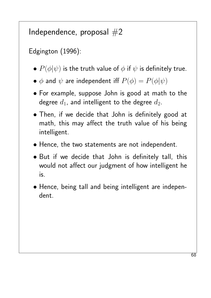# Independence, proposal  $#2$

Edgington (1996):

- $P(\phi|\psi)$  is the truth value of  $\phi$  if  $\psi$  is definitely true.
- $\bullet$   $\phi$  and  $\psi$  are independent iff  $P(\phi) = P(\phi | \psi)$
- For example, suppose John is good at math to the degree  $d_1$ , and intelligent to the degree  $d_2$ .
- Then, if we decide that John is definitely good at math, this may affect the truth value of his being intelligent.
- Hence, the two statements are not independent.
- But if we decide that John is definitely tall, this would not affect our judgment of how intelligent he is.
- Hence, being tall and being intelligent are independent.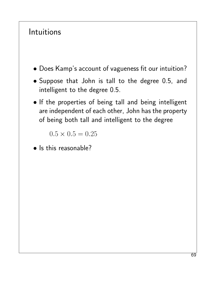#### Intuitions

- Does Kamp's account of vagueness fit our intuition?
- Suppose that John is tall to the degree 0.5, and intelligent to the degree 0.5.
- If the properties of being tall and being intelligent are independent of each other, John has the property of being both tall and intelligent to the degree

 $0.5 \times 0.5 = 0.25$ 

• Is this reasonable?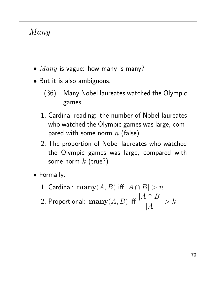## Many

- $Many$  is vague: how many is many?
- But it is also ambiguous.
	- (36) Many Nobel laureates watched the Olympic games.
	- 1. Cardinal reading: the number of Nobel laureates who watched the Olympic games was large, compared with some norm  $n$  (false).
	- 2. The proportion of Nobel laureates who watched the Olympic games was large, compared with some norm  $k$  (true?)

• Formally:

- 1. Cardinal:  $\mathbf{many}(A, B)$  iff  $|A \cap B| > n$
- 2. Proportional:  $\mathbf{many}(A,B)$  iff  $\frac{|A \cap B|}{|A|}$  $|A|$  $> k$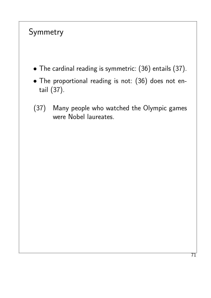# Symmetry

- The cardinal reading is symmetric: (36) entails (37).
- The proportional reading is not: (36) does not entail (37).
- (37) Many people who watched the Olympic games were Nobel laureates.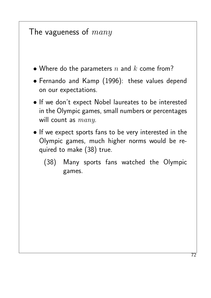### The vagueness of  $many$

- Where do the parameters  $n$  and  $k$  come from?
- Fernando and Kamp (1996): these values depend on our expectations.
- If we don't expect Nobel laureates to be interested in the Olympic games, small numbers or percentages will count as  $many$ .
- If we expect sports fans to be very interested in the Olympic games, much higher norms would be required to make (38) true.
	- (38) Many sports fans watched the Olympic games.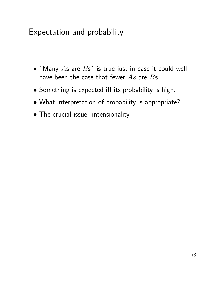#### Expectation and probability

- "Many  $As$  are  $Bs$ " is true just in case it could well have been the case that fewer  $As$  are  $Bs$ .
- Something is expected iff its probability is high.
- What interpretation of probability is appropriate?
- The crucial issue: intensionality.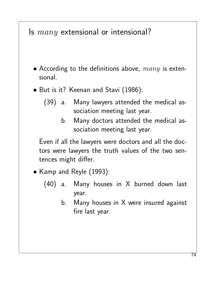### Is  $many$  extensional or intensional?

- According to the definitions above,  $many$  is extensional.
- But is it? Keenan and Stavi (1986):
	- (39) a. Many lawyers attended the medical association meeting last year.
		- b. Many doctors attended the medical association meeting last year.

Even if all the lawyers were doctors and all the doctors were lawyers the truth values of the two sentences might differ.

- Kamp and Reyle (1993):
	- (40) a. Many houses in X burned down last year.
		- b. Many houses in X were insured against fire last year.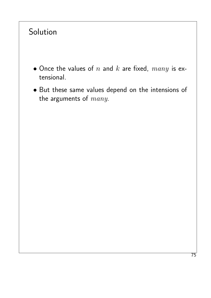# Solution

- Once the values of  $n$  and  $k$  are fixed,  $many$  is extensional.
- But these same values depend on the intensions of the arguments of  $many$ .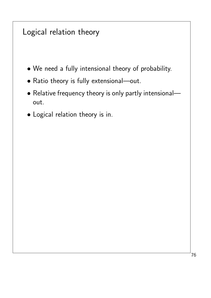#### Logical relation theory

- We need a fully intensional theory of probability.
- Ratio theory is fully extensional—out.
- Relative frequency theory is only partly intensional out.
- Logical relation theory is in.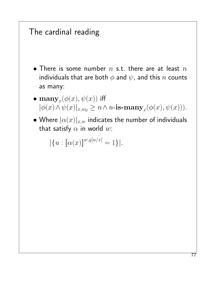### The cardinal reading

- There is some number  $n$  s.t. there are at least  $n$ individuals that are both  $\phi$  and  $\psi$ , and this  $n$  counts as many:
- $\bullet \; {\mathbf{many}}_x(\phi(x), \psi(x))$  iff  $|\phi(x) \wedge \psi(x)|_{x,w_0} \geq n \wedge n$ -is-many<sub>x</sub>( $\phi(x), \psi(x)$ )).
- Where  $|\alpha(x)|_{x,w}$  indicates the number of individuals that satisfy  $\alpha$  in world  $w$ :

 $|\{u : [\alpha(x)]^{w,g[u/x]} = 1\}|.$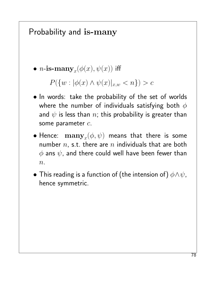### Probability and is-many

 $\bullet \; n\hbox{-}\mathbf{is\text{-}many}_x(\phi(x),\psi(x))$  iff

 $P({w : |\phi(x) \land \psi(x)|_{x,w} < n}) > c$ 

- In words: take the probability of the set of worlds where the number of individuals satisfying both  $\phi$ and  $\psi$  is less than  $n$ ; this probability is greater than some parameter  $c$ .
- $\bullet$  Hence:  $\left. \mathbf{many}_{x}(\phi,\psi) \right.$  means that there is some number  $n$ , s.t. there are  $n$  individuals that are both  $\phi$  ans  $\psi$ , and there could well have been fewer than  $n$ .
- This reading is a function of (the intension of)  $\phi \land \psi$ , hence symmetric.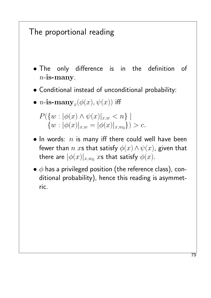### The proportional reading

- The only difference is in the definition of  $n$ -is-many.
- Conditional instead of unconditional probability:

$$
\bullet \; n\hbox{-}\mathbf{is\text{-}many}_x(\phi(x), \psi(x)) \text{ iff }
$$

- $P({w : |\phi(x) \land \psi(x)|_{x,w} < n}$  $\{w : |\phi(x)|_{x,w} = |\phi(x)|_{x,w_0}\}) > c.$
- In words:  $n$  is many iff there could well have been fewer than n xs that satisfy  $\phi(x) \wedge \psi(x)$ , given that there are  $|\phi(x)|_{x,w_0}$   $x$ s that satisfy  $\phi(x).$
- $\bullet$   $\phi$  has a privileged position (the reference class), conditional probability), hence this reading is asymmetric.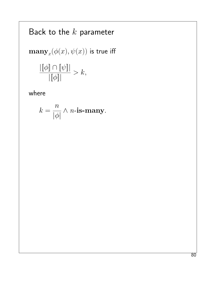# Back to the  $k$  parameter

$$
\mathbf{many}_x(\phi(x),\psi(x)) \text{ is true iff }
$$

$$
\frac{\left|\llbracket \phi \rrbracket \cap \llbracket \psi \rrbracket\right|}{\left|\llbracket \phi \rrbracket\right|} > k,
$$

where

$$
k = \frac{n}{|\phi|} \wedge n\text{-is-many}.
$$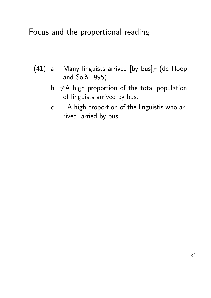#### Focus and the proportional reading

- (41) a. Many linguists arrived [by bus]  $_F$  (de Hoop and Solà 1995).
	- b.  $\neq$ A high proportion of the total population of linguists arrived by bus.
	- $c. = A$  high proportion of the linguistis who arrived, arried by bus.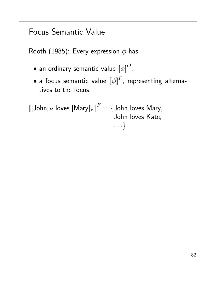# Focus Semantic Value

Rooth (1985): Every expression  $\phi$  has

- $\bullet$  an ordinary semantic value  $\llbracket \phi \rrbracket^O;$
- $\bullet$  a focus semantic value  $\llbracket \phi \rrbracket^F$ , representing alternatives to the focus.

```
\llbracket [\mathsf{John}]_B loves [\mathsf{Mary}]_F \rrbracket^F = \{\mathsf{John} \text{ loves Mary},John loves Kate,
                                          · · ·}
```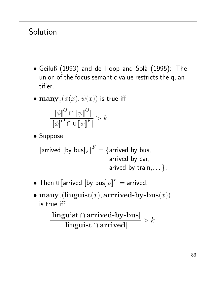# **Solution**

- $\bullet$  Geiluß (1993) and de Hoop and Solà (1995): The union of the focus semantic value restricts the quantifier.
- $\bullet \; {\mathbf{many}}_x(\phi(x), \psi(x))$  is true iff

$$
\frac{\|\llbracket \phi \rrbracket^O \cap \llbracket \psi \rrbracket^O|}{|\llbracket \phi \rrbracket^O \cap \cup \llbracket \psi \rrbracket^F|} > k
$$

• Suppose

[arrived [by bus] $_F$ ] $^F =$  {arrived by bus, arrived by car, arived by train,  $\ldots$  }.

- $\bullet$  Then  $\cup$  [arrived [by bus] $_F \rrbracket^F =$  arrived.
- $\bullet \; \mathbf{many}_x(\mathbf{linguist}(x), \mathbf{arrrived}\text{-}\mathbf{by}\text{-}\mathbf{bus}(x))$ is true iff

|linguist ∩ arrived-by-bus| |linguist ∩ arrived|  $> k$ 

83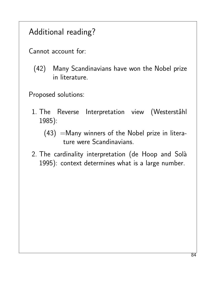# Additional reading?

Cannot account for:

(42) Many Scandinavians have won the Nobel prize in literature.

Proposed solutions:

- 1. The Reverse Interpretation view (Westerståhl 1985):
	- $(43)$  =Many winners of the Nobel prize in literature were Scandinavians.
- 2. The cardinality interpretation (de Hoop and Solà 1995): context determines what is a large number.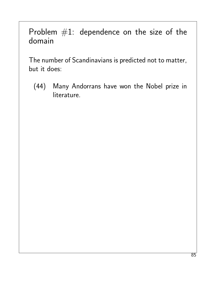#### Problem  $#1$ : dependence on the size of the domain

The number of Scandinavians is predicted not to matter, but it does:

(44) Many Andorrans have won the Nobel prize in literature.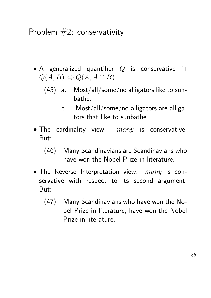# Problem  $#2$ : conservativity

- A generalized quantifier  $Q$  is conservative iff  $Q(A, B) \Leftrightarrow Q(A, A \cap B).$ 
	- (45) a. Most/all/some/no alligators like to sunbathe.
		- $b. =$ Most/all/some/no alligators are alligators that like to sunbathe.
- The cardinality view:  $many$  is conservative. But:

#### (46) Many Scandinavians are Scandinavians who have won the Nobel Prize in literature.

- The Reverse Interpretation view:  $many$  is conservative with respect to its second argument. But:
	- (47) Many Scandinavians who have won the Nobel Prize in literature, have won the Nobel Prize in literature.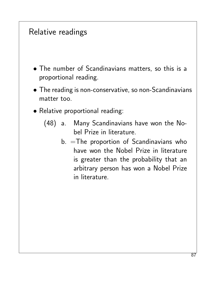### Relative readings

- The number of Scandinavians matters, so this is a proportional reading.
- The reading is non-conservative, so non-Scandinavians matter too.
- Relative proportional reading:
	- (48) a. Many Scandinavians have won the Nobel Prize in literature.
		- b. =The proportion of Scandinavians who have won the Nobel Prize in literature is greater than the probability that an arbitrary person has won a Nobel Prize in literature.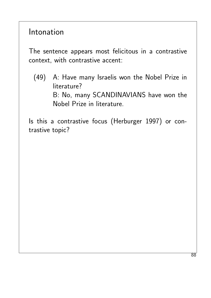Intonation

The sentence appears most felicitous in a contrastive context, with contrastive accent:

(49) A: Have many Israelis won the Nobel Prize in literature? B: No, many SCANDINAVIANS have won the Nobel Prize in literature.

Is this a contrastive focus (Herburger 1997) or contrastive topic?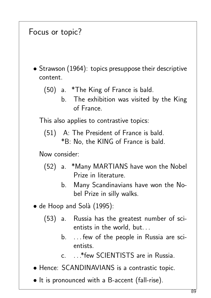#### Focus or topic?

- Strawson (1964): topics presuppose their descriptive content.
	- (50) a. \*The King of France is bald.
		- b. The exhibition was visited by the King of France.

This also applies to contrastive topics:

(51) A: The President of France is bald. \*B: No, the KING of France is bald.

Now consider:

- (52) a. \*Many MARTIANS have won the Nobel Prize in literature.
	- b. Many Scandinavians have won the Nobel Prize in silly walks.
- de Hoop and Solà (1995):
	- (53) a. Russia has the greatest number of scientists in the world, but. . .
		- b. . . . few of the people in Russia are scientists.
		- c. . . .\*few SCIENTISTS are in Russia.
- Hence: SCANDINAVIANS is a contrastic topic.
- It is pronounced with a B-accent (fall-rise).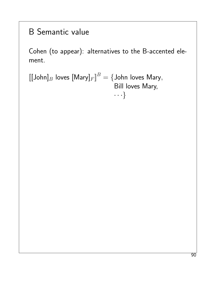# B Semantic value

Cohen (to appear): alternatives to the B-accented element.

 $\llbracket [\mathsf{John}]_B$  loves  $[\mathsf{Mary}]_F \rrbracket^B = \{\mathsf{John} \text{ loves Mary},$ Bill loves Mary,  $\cdots$ }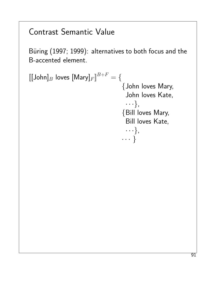# Contrast Semantic Value

Büring (1997; 1999): alternatives to both focus and the B-accented element.

$$
\begin{aligned} [[\text{John}]_B \text{ loves [Mary]}_F]^{B+F} &= \{ \\ \{\text{John loves Mary,} \\ \text{John loves Kate,} \\ \dots \}, \\ \text{Bill loves Kate,} \\ \dots \}, \\ \dots \} \end{aligned}
$$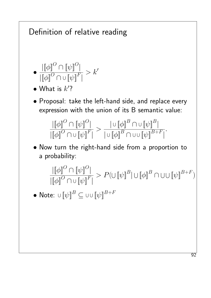# Definition of relative reading •  $\llbracket \phi \rrbracket^O \cap \llbracket \psi \rrbracket^O \rrbracket$  $\overline{\left|\left[\![\phi]\!\right]^O\cap\cup\left[\![\psi]\!\right]^F\right|}$  $> k'$ • What is  $k$ ? • Proposal: take the left-hand side, and replace every expression with the union of its B semantic value:  $\left\Vert \left[ \phi\right\Vert ^{O}\cap\left\Vert \psi\right\Vert ^{O}\right\Vert$  $\overline{\left\Vert \left[ \phi\right\Vert ^{O}\cap\cup\left[ \psi\right] ^{F}\right\Vert }$  $>$  $\vert \cup \lbrack\!\lbrack \phi \rbrack\!\rbrack^B \cap \cup \lbrack\!\lbrack \psi \rbrack\!\rbrack^B \vert$  $\overline{\|\cup \llbracket \phi \rrbracket^{B}\cap \cup \cup \llbracket \psi \rrbracket^{B+F}|}$ . • Now turn the right-hand side from a proportion to a probability:  $\left\Vert \left[ \phi\right\Vert ^{O}\cap\left\Vert \psi\right\Vert ^{O}\right\Vert$  $\overline{\left\Vert \left[ \phi\right\Vert ^{O}\cap\cup\left[ \psi\right] ^{F}\right\Vert }$  $\supset P(\cup \llbracket \psi \rrbracket^B | \cup \llbracket \phi \rrbracket^B \cap \cup \cup \llbracket \psi \rrbracket^{B+F})$  $\bullet$  Note:  $\cup \llbracket \psi \rrbracket^B \subseteq \cup \cup \llbracket \psi \rrbracket^{B+P}$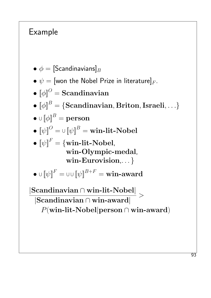# Example

- $\bullet \phi = [\textsf{Scandinavians}]_B$
- $\psi =$  [won the Nobel Prize in literature] $_F$ .
- $\llbracket \phi \rrbracket^O =$  Scandinavian
- $\bullet$   $\left\llbracket \phi \right\rrbracket^B = \{\textbf{Scandinavian}, \textbf{Briton}, \textbf{Israeli}, \ldots\}$
- $\bullet \cup \llbracket \phi \rrbracket^B = \mathbf{person}$
- $\bullet \ \llbracket \psi \rrbracket^{O} = \cup \llbracket \psi \rrbracket^{B} = \textbf{win-lit-Nobel}$
- $\llbracket \psi \rrbracket^F = \{\textbf{win-lit-Nobel}, \}$ win-Olympic-medal, win-Eurovision,...}
- $\bullet \cup \llbracket \psi \rrbracket^F = \cup \cup \llbracket \psi \rrbracket^{B+F} = \textbf{win-award}$

|Scandinavian ∩ win-lit-Nobel| |Scandinavian ∩ win-award|  $>$ P(win-lit-Nobel|person ∩ win-award)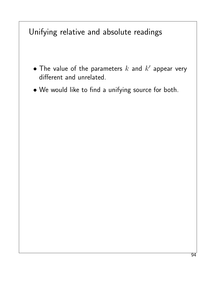### Unifying relative and absolute readings

- $\bullet$  The value of the parameters  $k$  and  $k'$  appear very different and unrelated.
- We would like to find a unifying source for both.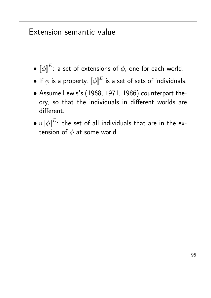#### Extension semantic value

- $\bullet \; \llbracket \phi \rrbracket^E \colon$  a set of extensions of  $\phi$ , one for each world.
- $\bullet$  If  $\phi$  is a property,  $\llbracket \phi \rrbracket^E$  is a set of sets of individuals.
- Assume Lewis's (1968, 1971, 1986) counterpart theory, so that the individuals in different worlds are different.
- $\bullet$   $\cup$   $\llbracket \phi \rrbracket^E$ : the set of all individuals that are in the extension of  $\phi$  at some world.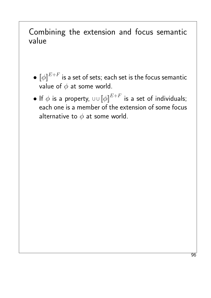#### Combining the extension and focus semantic value

- $\bullet \; \llbracket \phi \rrbracket^{E+F}$  is a set of sets; each set is the focus semantic value of  $\phi$  at some world.
- $\bullet$  If  $\phi$  is a property,  $\circledcirc\ \llbracket \phi \rrbracket^{E+F}$  is a set of individuals; each one is a member of the extension of some focus alternative to  $\phi$  at some world.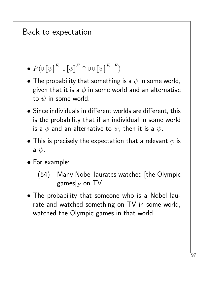# Back to expectation

 $\bullet$   $P(\cup\llbracket\psi\rrbracket^E|\cup\llbracket\phi\rrbracket^E\cap\cup\cup\llbracket\psi\rrbracket^{E+F})$ 

- The probability that something is a  $\psi$  in some world, given that it is a  $\phi$  in some world and an alternative to  $\psi$  in some world.
- Since individuals in different worlds are different, this is the probability that if an individual in some world is a  $\phi$  and an alternative to  $\psi$ , then it is a  $\psi$ .
- This is precisely the expectation that a relevant  $\phi$  is a  $\psi$ .
- For example:

• The probability that someone who is a Nobel laurate and watched something on TV in some world, watched the Olympic games in that world.

<sup>(54)</sup> Many Nobel laurates watched [the Olympic games] $_F$  on TV.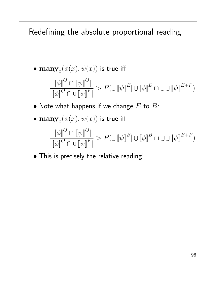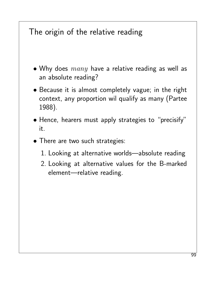# The origin of the relative reading

- Why does  $many$  have a relative reading as well as an absolute reading?
- Because it is almost completely vague; in the right context, any proportion wil qualify as many (Partee 1988).
- Hence, hearers must apply strategies to "precisify" it.
- There are two such strategies:
	- 1. Looking at alternative worlds—absolute reading
	- 2. Looking at alternative values for the B-marked element—relative reading.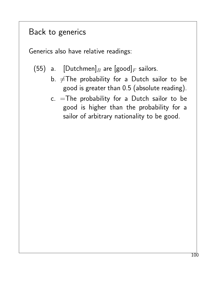### Back to generics

Generics also have relative readings:

- (55) a.  $[Dutchmen]_B$  are  $[good]_F$  sailors.
	- b.  $\neq$ The probability for a Dutch sailor to be good is greater than 0.5 (absolute reading).
	- c. =The probability for a Dutch sailor to be good is higher than the probability for a sailor of arbitrary nationality to be good.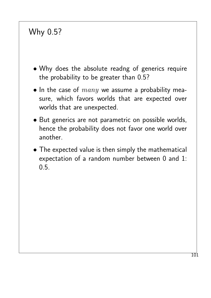# Why 0.5?

- Why does the absolute readng of generics require the probability to be greater than 0.5?
- In the case of  $many$  we assume a probability measure, which favors worlds that are expected over worlds that are unexpected.
- But generics are not parametric on possible worlds, hence the probability does not favor one world over another.
- The expected value is then simply the mathematical expectation of a random number between 0 and 1: 0.5.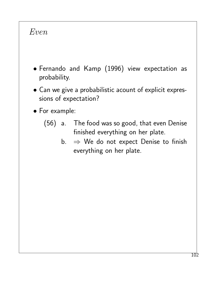#### Even

- Fernando and Kamp (1996) view expectation as probability.
- Can we give a probabilistic acount of explicit expressions of expectation?
- For example:
	- (56) a. The food was so good, that even Denise finished everything on her plate.
		- b.  $\Rightarrow$  We do not expect Denise to finish everything on her plate.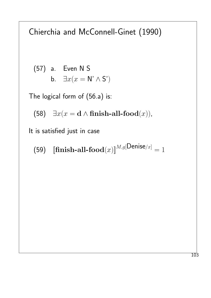### Chierchia and McConnell-Ginet (1990)

(57) a. Even N S  
b. 
$$
\exists x(x = N' \land S')
$$

The logical form of (56.a) is:

(58)  $\exists x(x = \mathbf{d} \land \mathbf{f}\mathbf{mish}\text{-}\mathbf{all}\text{-}\mathbf{food}(x)),$ 

It is satisfied just in case

(59)  $[\textbf{finish-all}\textbf{-} \textbf{all}\textbf{-} \textbf{food}(x)]^{M,g}[\textbf{Denise}/x] = 1$ 

103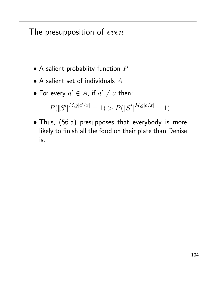#### The presupposition of even

- $\bullet$  A salient probabiity function  $P$
- $\bullet$  A salient set of individuals  $A$
- For every  $a' \in A$ , if  $a' \neq a$  then:

$$
P([S']^{M,g[a'/x]} = 1) > P([S']^{M,g[a/x]} = 1)
$$

• Thus, (56.a) presupposes that everybody is more likely to finish all the food on their plate than Denise is.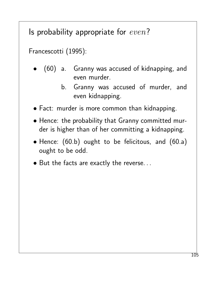### Is probability appropriate for  $even$ ?

Francescotti (1995):

- (60) a. Granny was accused of kidnapping, and even murder.
	- b. Granny was accused of murder, and even kidnapping.
- Fact: murder is more common than kidnapping.
- Hence: the probability that Granny committed murder is higher than of her committing a kidnapping.
- Hence: (60.b) ought to be felicitous, and (60.a) ought to be odd.
- But the facts are exactly the reverse. . .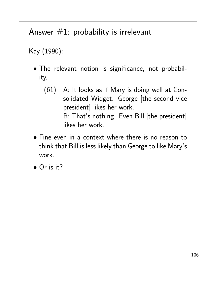# Answer  $#1$ : probability is irrelevant

Kay (1990):

- The relevant notion is significance, not probability.
	- (61) A: It looks as if Mary is doing well at Consolidated Widget. George [the second vice president] likes her work. B: That's nothing. Even Bill [the president] likes her work.
- Fine even in a context where there is no reason to think that Bill is less likely than George to like Mary's work.

• Or is it?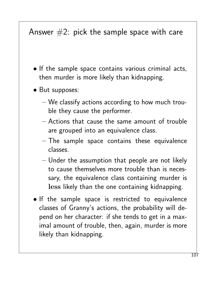# Answer  $#2$ : pick the sample space with care

- If the sample space contains various criminal acts, then murder is more likely than kidnapping.
- But supposes:
	- We classify actions according to how much trouble they cause the performer.
	- Actions that cause the same amount of trouble are grouped into an equivalence class.
	- The sample space contains these equivalence classes.
	- Under the assumption that people are not likely to cause themselves more trouble than is necessary, the equivalence class containing murder is less likely than the one containing kidnapping.
- If the sample space is restricted to equivalence classes of Granny's actions, the probability will depend on her character: if she tends to get in a maximal amount of trouble, then, again, murder is more likely than kidnapping.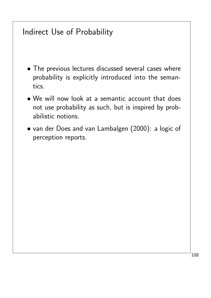#### Indirect Use of Probability

- The previous lectures discussed several cases where probability is explicitly introduced into the semantics.
- We will now look at a semantic account that does not use probability as such, but is inspired by probabilistic notions.
- van der Does and van Lambalgen (2000): a logic of perception reports.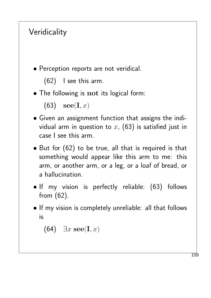# **Veridicality**

• Perception reports are not veridical.

```
(62) I see this arm.
```
• The following is not its logical form:

```
(63) \mathbf{see}(\mathbf{I},x)
```
- Given an assignment function that assigns the individual arm in question to  $x$ , (63) is satisfied just in case I see this arm.
- But for (62) to be true, all that is required is that something would appear like this arm to me: this arm, or another arm, or a leg, or a loaf of bread, or a hallucination.
- If my vision is perfectly reliable: (63) follows from (62).
- If my vision is completely unreliable: all that follows is

(64)  $\exists x \ \textbf{see}(\mathbf{I}, x)$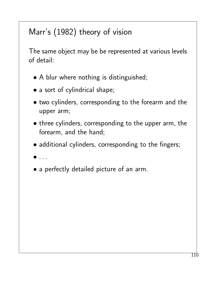# Marr's (1982) theory of vision

The same object may be be represented at various levels of detail:

- A blur where nothing is distinguished;
- a sort of cylindrical shape;
- two cylinders, corresponding to the forearm and the upper arm;
- three cylinders, corresponding to the upper arm, the forearm, and the hand;
- additional cylinders, corresponding to the fingers;
- $\bullet$  . . .
- a perfectly detailed picture of an arm.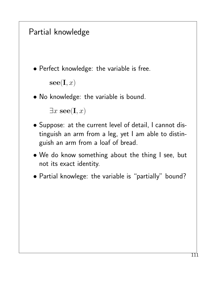# Partial knowledge

- Perfect knowledge: the variable is free.  $\mathbf{see}(\mathbf{I},x)$
- No knowledge: the variable is bound.

```
\exists x \ \textbf{see}(\mathbf{I}, x)
```
- Suppose: at the current level of detail, I cannot distinguish an arm from a leg, yet I am able to distinguish an arm from a loaf of bread.
- We do know something about the thing I see, but not its exact identity.
- Partial knowlege: the variable is "partially" bound?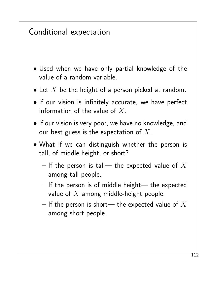# Conditional expectation

- Used when we have only partial knowledge of the value of a random variable.
- Let  $X$  be the height of a person picked at random.
- If our vision is infinitely accurate, we have perfect information of the value of  $X$ .
- If our vision is very poor, we have no knowledge, and our best guess is the expectation of  $X$ .
- What if we can distinguish whether the person is tall, of middle height, or short?
	- If the person is tall— the expected value of  $X$ among tall people.
	- $-$  If the person is of middle height— the expected value of  $X$  among middle-height people.
	- If the person is short— the expected value of  $X$ among short people.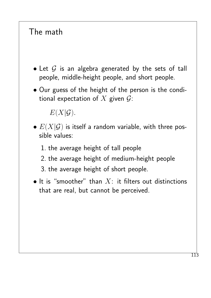## The math

- Let  $G$  is an algebra generated by the sets of tall people, middle-height people, and short people.
- Our guess of the height of the person is the conditional expectation of  $X$  given  $\mathcal{G}$ :

 $E(X|\mathcal{G})$ .

- $\bullet$   $E(X|\mathcal{G})$  is itself a random variable, with three possible values:
	- 1. the average height of tall people
	- 2. the average height of medium-height people
	- 3. the average height of short people.
- It is "smoother" than  $X$ : it filters out distinctions that are real, but cannot be perceived.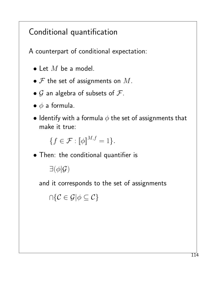# Conditional quantification

A counterpart of conditional expectation:

- $\bullet$  Let  $M$  be a model.
- $\mathcal F$  the set of assignments on  $M$ .
- $G$  an algebra of subsets of  $F$ .
- $\bullet \phi$  a formula.
- Identify with a formula  $\phi$  the set of assignments that make it true:

 ${f \in \mathcal{F} : \llbracket \phi \rrbracket^{M,f} = 1}.$ 

• Then: the conditional quantifier is

 $\exists(\phi|\mathcal{G})$ 

and it corresponds to the set of assignments

 $\cap\{\mathcal{C}\in\mathcal{G}|\phi\subseteq\mathcal{C}\}$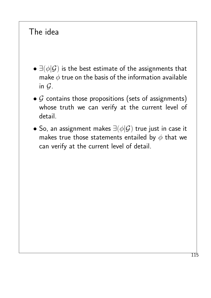### The idea

- $\exists(\phi|\mathcal{G})$  is the best estimate of the assignments that make  $\phi$  true on the basis of the information available in  $G$ .
- $G$  contains those propositions (sets of assignments) whose truth we can verify at the current level of detail.
- So, an assignment makes  $\exists(\phi|\mathcal{G})$  true just in case it makes true those statements entailed by  $\phi$  that we can verify at the current level of detail.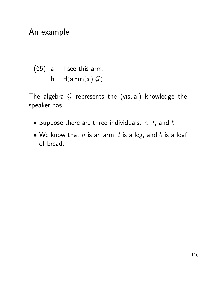#### An example

(65) a. I see this arm.  
b. 
$$
\exists(\mathbf{arm}(x)|\mathcal{G})
$$

The algebra  $G$  represents the (visual) knowledge the speaker has.

- Suppose there are three individuals:  $a, l$ , and  $b$
- $\bullet$  We know that  $a$  is an arm,  $l$  is a leg, and  $b$  is a loaf of bread.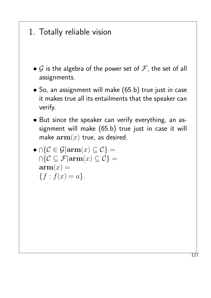### 1. Totally reliable vision

- $G$  is the algebra of the power set of  $F$ , the set of all assignments.
- So, an assignment will make (65.b) true just in case it makes true all its entailments that the speaker can verify.
- But since the speaker can verify everything, an assignment will make (65.b) true just in case it will make  $arm(x)$  true, as desired.
- $\bullet$   $\cap$  { $\mathcal{C} \in \mathcal{G} | \textbf{arm}(x) \subseteq \mathcal{C}$ } =  $\cap\{\mathcal{C}\subseteq\mathcal{F}|\mathbf{arm}(x)\subseteq\mathcal{C}\}=$  $arm(x) =$  ${f : f(x) = a}.$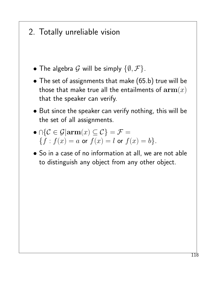### 2. Totally unreliable vision

- The algebra G will be simply  $\{\emptyset, \mathcal{F}\}.$
- The set of assignments that make (65.b) true will be those that make true all the entailments of  $arm(x)$ that the speaker can verify.
- But since the speaker can verify nothing, this will be the set of all assignments.
- $\bullet\cap\{\mathcal{C}\in\mathcal{G}|\text{arm}(x)\subseteq\mathcal{C}\}=\mathcal{F}=$  ${f : f(x) = a \text{ or } f(x) = l \text{ or } f(x) = b}.$
- So in a case of no information at all, we are not able to distinguish any object from any other object.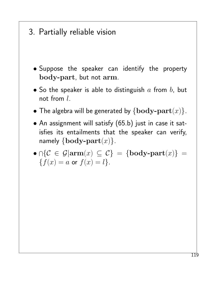- 3. Partially reliable vision
	- Suppose the speaker can identify the property body-part, but not arm.
	- So the speaker is able to distinguish  $a$  from  $b$ , but not from l.
	- The algebra will be generated by  $\{body\text{-}part(x)\}.$
	- An assignment will satisfy (65.b) just in case it satisfies its entailments that the speaker can verify, namely  $\{body\text{-}part(x)\}.$
	- $\bullet\cap\{\mathcal{C}\,\in\,\mathcal{G}|{\rm arm}(x)\,\subseteq\,\mathcal{C}\}\,=\,\{\textbf{body-part}(x)\}\,=\,$  ${f(x) = a \text{ or } f(x) = l}.$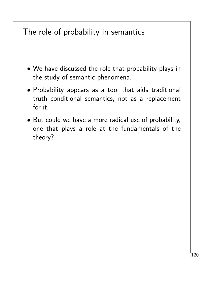# The role of probability in semantics

- We have discussed the role that probability plays in the study of semantic phenomena.
- Probability appears as a tool that aids traditional truth conditional semantics, not as a replacement for it.
- But could we have a more radical use of probability, one that plays a role at the fundamentals of the theory?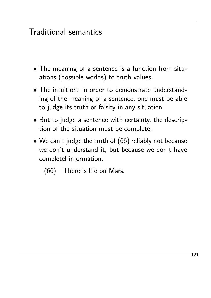### Traditional semantics

- The meaning of a sentence is a function from situations (possible worlds) to truth values.
- The intuition: in order to demonstrate understanding of the meaning of a sentence, one must be able to judge its truth or falsity in any situation.
- But to judge a sentence with certainty, the description of the situation must be complete.
- We can't judge the truth of (66) reliably not because we don't understand it, but because we don't have completel information.
	- (66) There is life on Mars.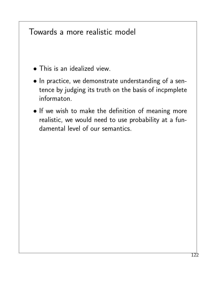#### Towards a more realistic model

- This is an idealized view.
- In practice, we demonstrate understanding of a sentence by judging its truth on the basis of incpmplete informaton.
- If we wish to make the definition of meaning more realistic, we would need to use probability at a fundamental level of our semantics.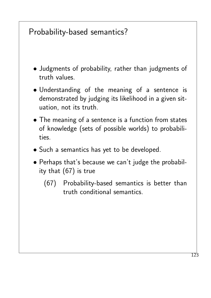# Probability-based semantics?

- Judgments of probability, rather than judgments of truth values.
- Understanding of the meaning of a sentence is demonstrated by judging its likelihood in a given situation, not its truth.
- The meaning of a sentence is a function from states of knowledge (sets of possible worlds) to probabilities.
- Such a semantics has yet to be developed.
- Perhaps that's because we can't judge the probability that (67) is true
	- (67) Probability-based semantics is better than truth conditional semantics.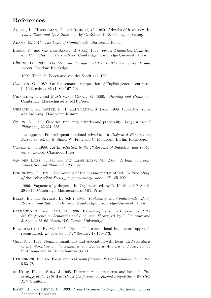#### References

- AQUIST, L., HOEPELMAN, J., and ROHRER, C. 1980. Adverbs of frequency. In Time, Tense and Quantifiers, ed. by C. Rohrer 1–18. Tübingen: Verlag.
- ADAMS, E. 1975. The Logic of Conditionals. Dordrecht: Reidel.
- BOSCH, P., and VAN DER SANDT, R. (eds.) 1999. Focus: Linguistic, Cognitive, and Computational Perspectives. Cambridge: Cambridge University Press.
- BÜRING, D. 1997. The Meaning of Topic and Focus—The 59th Street Bridge Accent. London: Routledge.
- —— 1999. Topic. In Bosch and van der Sandt 142–165.
- Carlson, G. 1989. On the semantic composition of English generic sentences. In Chierchia et al. (1989) 167–192.
- CHIERCHIA, G., and MCCONNELL-GINET, S. 1990. Meaning and Grammar. Cambridge, Massachussetts: MIT Press.
- Chierchia, G., Partee, B. H., and Turner, R. (eds.) 1989. Properties, Types and Meaning. Dordrecht: Kluwer.
- Cohen, A. 1999. Generics, frequency adverbs and probability. Linguistics and Philosophy 22.221–253.
- to appear. Fronted quantificational adverbs. In *Dislocated Elements in* Discourse, ed. by B. Shaer, W. Frey, and C. Mainborn. Berlin: Routledge.
- Cohen, L. J. 1989. An Introduction to the Philosophy of Induction and Probability. Oxford: Clarendon Press.
- van der Does, J. M., and van Lambalgen, M. 2000. A logic of vision. Linguistics and Philosophy 23.1–92.
- EDGINGTON, D. 1991. The mystery of the missing matter of fact. In *Proceedings* of the Aristotelian Society, supplementary volume 65 185–209.
- 1996. Vagueness by degrees. In *Vagueness*, ed. by R. Keefe and P. Smith 294–316. Cambridge, Massachusetts: MIT Press.
- EELLS, E., and SKYRMS, B. (eds.) 1994. Probability and Conditionals: Belief Revision and Rational Decision. Cambridge: Cambridge University Press.
- FERNANDO, T., and KAMP, H. 1996. Expecting many. In Proceedings of the 6th Conference on Semantics and Linguistic Theory, ed. by T. Galloway and J. Spence 53–68 Ithaca, NY. Cornell University.
- FRANCESCOTTI, R. M. 1995. Even: The conventional implicature approach reconsidered. Linguistics and Philosophy 18.153–173.
- GEILUB, J. 1993. Nominal quantifiers and association with focus. In Proceedings of the Workshop on the Semantic and Syntactic Analysis of Focus, ed. by P. Ackema and M. Schoorlemmer 33–41.
- HERBURGER, E. 1997. Focus and weak noun phrases. Natural Language Semantics 5.53–78.
- DE HOOP, H., and SOLÀ, J. 1995. Determiners, context sets, and focus. In Proceedings of the 14th West Coast Conference on Formal Linguistics—WCCFL XIV Stanford.
- Kamp, H., and Reyle, U. 1993. From Discourse to Logic. Dordrecht: Kluwer Academic Publishers.